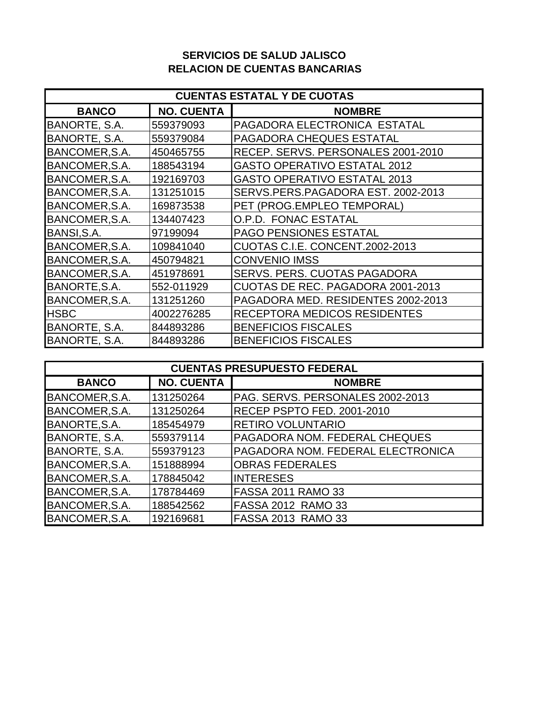## **SERVICIOS DE SALUD JALISCO RELACION DE CUENTAS BANCARIAS**

| <b>CUENTAS ESTATAL Y DE CUOTAS</b> |                   |                                     |  |  |
|------------------------------------|-------------------|-------------------------------------|--|--|
| <b>BANCO</b>                       | <b>NO. CUENTA</b> | <b>NOMBRE</b>                       |  |  |
| BANORTE, S.A.                      | 559379093         | PAGADORA ELECTRONICA ESTATAL        |  |  |
| BANORTE, S.A.                      | 559379084         | <b>PAGADORA CHEQUES ESTATAL</b>     |  |  |
| BANCOMER, S.A.                     | 450465755         | RECEP. SERVS. PERSONALES 2001-2010  |  |  |
| BANCOMER, S.A.                     | 188543194         | <b>GASTO OPERATIVO ESTATAL 2012</b> |  |  |
| BANCOMER, S.A.                     | 192169703         | <b>GASTO OPERATIVO ESTATAL 2013</b> |  |  |
| BANCOMER, S.A.                     | 131251015         | SERVS.PERS.PAGADORA EST. 2002-2013  |  |  |
| BANCOMER, S.A.                     | 169873538         | PET (PROG.EMPLEO TEMPORAL)          |  |  |
| BANCOMER, S.A.                     | 134407423         | O.P.D. FONAC ESTATAL                |  |  |
| BANSI, S.A.                        | 97199094          | <b>PAGO PENSIONES ESTATAL</b>       |  |  |
| BANCOMER, S.A.                     | 109841040         | CUOTAS C.I.E. CONCENT.2002-2013     |  |  |
| BANCOMER, S.A.                     | 450794821         | <b>CONVENIO IMSS</b>                |  |  |
| BANCOMER, S.A.                     | 451978691         | <b>SERVS. PERS. CUOTAS PAGADORA</b> |  |  |
| BANORTE, S.A.                      | 552-011929        | CUOTAS DE REC. PAGADORA 2001-2013   |  |  |
| BANCOMER, S.A.                     | 131251260         | PAGADORA MED. RESIDENTES 2002-2013  |  |  |
| <b>HSBC</b>                        | 4002276285        | RECEPTORA MEDICOS RESIDENTES        |  |  |
| BANORTE, S.A.                      | 844893286         | <b>BENEFICIOS FISCALES</b>          |  |  |
| BANORTE, S.A.                      | 844893286         | <b>BENEFICIOS FISCALES</b>          |  |  |

| <b>CUENTAS PRESUPUESTO FEDERAL</b> |                   |                                      |  |  |
|------------------------------------|-------------------|--------------------------------------|--|--|
| <b>BANCO</b>                       | <b>NO. CUENTA</b> | <b>NOMBRE</b>                        |  |  |
| BANCOMER, S.A.                     | 131250264         | PAG. SERVS. PERSONALES 2002-2013     |  |  |
| BANCOMER, S.A.                     | 131250264         | RECEP PSPTO FED. 2001-2010           |  |  |
| BANORTE, S.A.                      | 185454979         | <b>RETIRO VOLUNTARIO</b>             |  |  |
| BANORTE, S.A.                      | 559379114         | <b>PAGADORA NOM. FEDERAL CHEQUES</b> |  |  |
| BANORTE, S.A.                      | 559379123         | PAGADORA NOM. FEDERAL ELECTRONICA    |  |  |
| BANCOMER, S.A.                     | 151888994         | <b>OBRAS FEDERALES</b>               |  |  |
| BANCOMER, S.A.                     | 178845042         | <b>INTERESES</b>                     |  |  |
| BANCOMER, S.A.                     | 178784469         | <b>FASSA 2011 RAMO 33</b>            |  |  |
| BANCOMER, S.A.                     | 188542562         | <b>FASSA 2012 RAMO 33</b>            |  |  |
| BANCOMER, S.A.                     | 192169681         | FASSA 2013 RAMO 33                   |  |  |